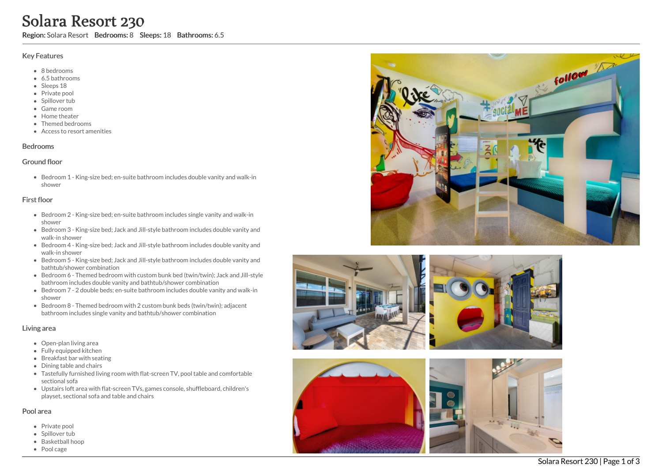# Solara Resort 230

Region: Solara Resort Bedrooms: 8 Sleeps: 18 Bathrooms: 6.5

## Key Features

- 8 b e d r o o m s
- 6.5 b a t h r o o m s
- Sleeps 18
- Private pool
- Spillover tub
- Game room
- Home theate r
- Themed bedrooms
- Access to resort amenities

## **Bedrooms**

## Ground floor

Bedroom 1 - King-size bed; en-suite bathroom includes double vanity and walk-in s h o w e r

# First floor

- Bedroom 2 King-size bed; en-suite bathroom includes single vanity and walk-in s h o w e r
- Bedroom 3 King-size bed; Jack and Jill-style bathroom includes double vanity and walk-in shower
- Bedroom 4 King-size bed; Jack and Jill-style bathroom includes double vanity and w alk -in s h o w e r
- Bedroom 5 King-size bed; Jack and Jill-style bathroom includes double vanity and bathtub/shower combination
- Bedroom 6 Themed bedroom with custom bunk bed (twin/twin); Jack and Jill-style bathroom includes double vanity and bathtub/shower combination
- Bedroom 7 2 double beds; en-suite bathroom includes double vanity and walk-in s h o w e r
- Bedroom 8 Themed bedroom with 2 custom bunk beds (twin/twin); adjacent bathroom includes single vanity and bathtub/shower combination

## Living area

- Open-plan living area
- Fully equipped kitchen
- Breakfast bar with seating
- Dining table and chairs
- Tastefully furnished living room with flat-screen TV, pool table and comfortable s e c tio n al s o f a
- Upstairs loft area with flat-screen TVs, games console, shuffleboard, children's playset, sectional sofa and table and chairs

## Pool area

- Private pool
- Spillover tub
- Basketball ho o p
- Pool cage





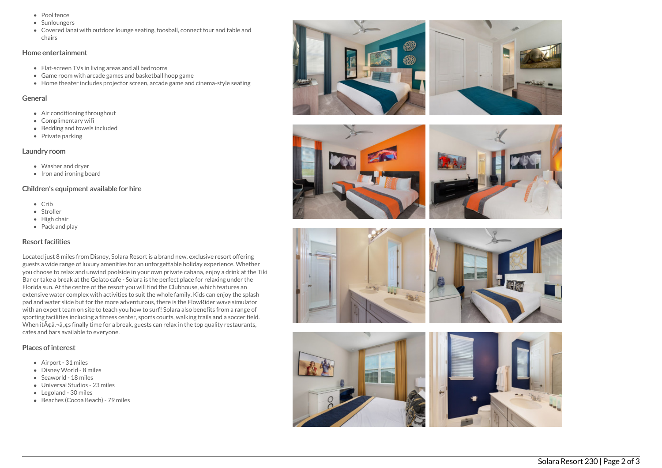- Pool fence
- Sunloungers
- Covered lanai with outdoor lounge seating, foosball, connect four and table and chairs

#### Home entertainment

- Flat-screen TVs in living areas and all bedrooms
- Game room with arcade games and basketball hoop game
- Home theater includes projector screen, arcade game and cinema-style seating

#### General

- Air conditioning throughout
- Complimentary wifi
- Bedding and towels included
- Private parking

## Laundry room

- Washer and dryer
- Iron and ironing board

# Children's equipment available for hire

- Crib
- Stroller
- High chair
- Pack and play

# Resort facilities

Located just 8 miles from Disney, Solara Resort is a brand new, exclusive resort offering guests a wide range of luxury amenities for an unforgettable holiday experience. Whether you choose to relax and unwind poolside in your own private cabana, enjoy a drink at the Tiki Bar or take a break at the Gelato cafe - Solara is the perfect place for relaxing under the Florida sun. At the centre of the resort you will find the Clubhouse, which features an extensive water complex with activities to suit the whole family. Kids can enjoy the splash pad and water slide but for the more adventurous, there is the FlowRider wave simulator with an expert team on site to teach you how to surf! Solara also benefits from a range of sporting facilities including a fitness center, sports courts, walking trails and a soccer field. When it $\tilde{A}$  $\phi$  $\tilde{a}$ , $\phi$ s finally time for a break, guests can relax in the top quality restaurants, cafes and bars available to everyone.

# Places of interest

- Airport 31 miles
- Disney World 8 miles
- Seaworld 18 miles
- Universal Studios 23 miles
- Legoland 30 miles
- Beaches (Cocoa Beach) 79 miles